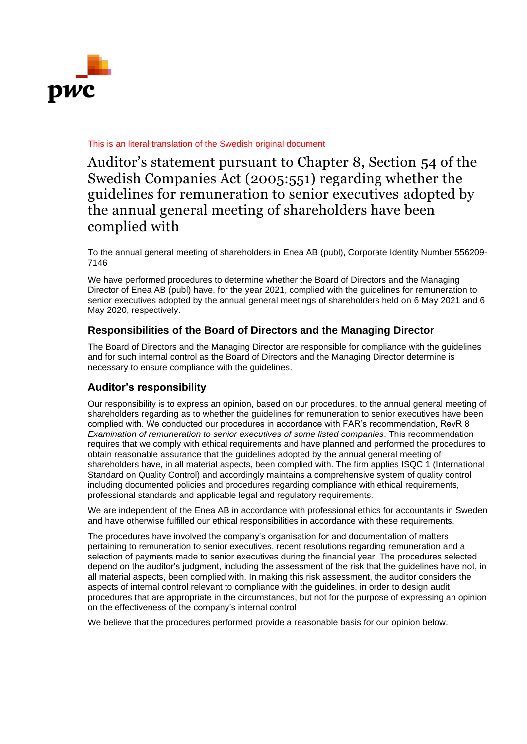

## This is an literal translation of the Swedish original document

Auditor's statement pursuant to Chapter 8, Section 54 of the Swedish Companies Act (2005:551) regarding whether the guidelines for remuneration to senior executives adopted by the annual general meeting of shareholders have been complied with

To the annual general meeting of shareholders in Enea AB (publ), Corporate Identity Number 556209- 7146

We have performed procedures to determine whether the Board of Directors and the Managing Director of Enea AB (publ) have, for the year 2021, complied with the guidelines for remuneration to senior executives adopted by the annual general meetings of shareholders held on 6 May 2021 and 6 May 2020, respectively.

## **Responsibilities of the Board of Directors and the Managing Director**

The Board of Directors and the Managing Director are responsible for compliance with the guidelines and for such internal control as the Board of Directors and the Managing Director determine is necessary to ensure compliance with the guidelines.

## **Auditor's responsibility**

Our responsibility is to express an opinion, based on our procedures, to the annual general meeting of shareholders regarding as to whether the guidelines for remuneration to senior executives have been complied with. We conducted our procedures in accordance with FAR's recommendation, RevR 8 *Examination of remuneration to senior executives of some listed companies*. This recommendation requires that we comply with ethical requirements and have planned and performed the procedures to obtain reasonable assurance that the guidelines adopted by the annual general meeting of shareholders have, in all material aspects, been complied with. The firm applies ISQC 1 (International Standard on Quality Control) and accordingly maintains a comprehensive system of quality control including documented policies and procedures regarding compliance with ethical requirements, professional standards and applicable legal and regulatory requirements.

We are independent of the Enea AB in accordance with professional ethics for accountants in Sweden and have otherwise fulfilled our ethical responsibilities in accordance with these requirements.

The procedures have involved the company's organisation for and documentation of matters pertaining to remuneration to senior executives, recent resolutions regarding remuneration and a selection of payments made to senior executives during the financial year. The procedures selected depend on the auditor's judgment, including the assessment of the risk that the guidelines have not, in all material aspects, been complied with. In making this risk assessment, the auditor considers the aspects of internal control relevant to compliance with the guidelines, in order to design audit procedures that are appropriate in the circumstances, but not for the purpose of expressing an opinion on the effectiveness of the company's internal control

We believe that the procedures performed provide a reasonable basis for our opinion below.